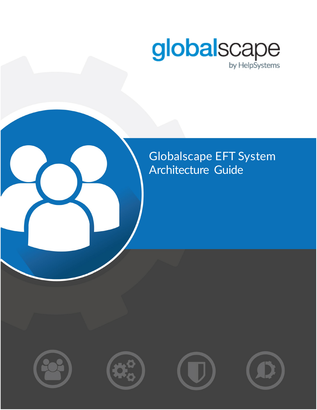

### Globalscape EFT System Architecture Guide







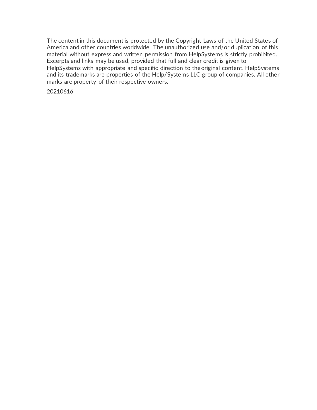The content in this document is protected by the Copyright Laws of the United States of America and other countries worldwide. The unauthorized use and/or duplication of this material without express and written permission from HelpSystems is strictly prohibited. Excerpts and links may be used, provided that full and clear credit is given to HelpSystems with appropriate and specific direction to theoriginal content. HelpSystems and its trademarks are properties of the Help/Systems LLC group of companies. All other marks are property of their respective owners.

20210616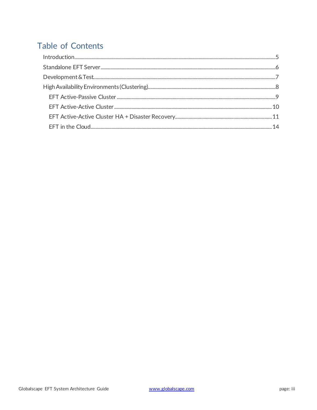### **Table of Contents**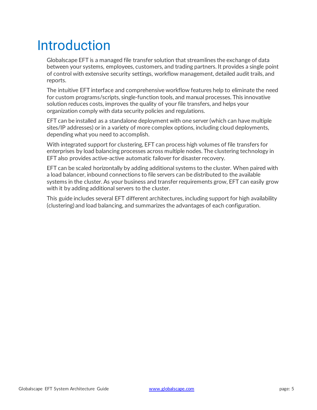# <span id="page-4-0"></span>Introduction

Globalscape EFT is a managed file transfer solution that streamlines the exchange of data between your systems, employees, customers, and trading partners. It provides a single point of control with extensive security settings, workflow management, detailed audit trails, and reports.

The intuitive EFT interface and comprehensive workflow features help to eliminate the need for custom programs/scripts, single-function tools, and manual processes. This innovative solution reduces costs, improves the quality of your file transfers, and helps your organization comply with data security policies and regulations.

EFT can be installed as a standalone deployment with one server (which can have multiple sites/IP addresses) or in a variety of more complex options, including cloud deployments, depending what you need to accomplish.

With integrated support for clustering, EFT can process high volumes of file transfers for enterprises by load balancing processes across multiple nodes. The clustering technology in EFT also provides active-active automatic failover for disaster recovery.

EFT can be scaled horizontally by adding additional systems to the cluster. When paired with a load balancer, inbound connections to file servers can be distributed to the available systems in the cluster. As your business and transfer requirements grow, EFT can easily grow with it by adding additional servers to the cluster.

This guide includes several EFT different architectures, including support for high availability (clustering) and load balancing, and summarizes the advantages of each configuration.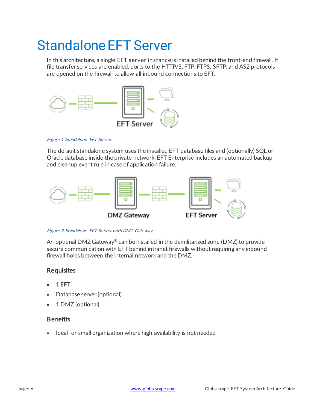## <span id="page-5-0"></span>Standalone EFT Server

In this architecture, a single EFT server instance is installed behind the front-end firewall. If file transfer services are enabled, ports to the HTTP/S, FTP, FTPS, SFTP, and AS2 protocols are opened on the firewall to allow all inbound connections to EFT.



Figure 1 Standalone EFT Server

The default standalone system uses the installed EFT database files and (optionally) SQL or Oracle database inside the private network. EFT Enterprise includes an automated backup and cleanup event rule in case of application failure.



Figure 2 Standalone EFT Server with DMZ Gateway

An optional DMZ Gateway<sup>®</sup> can be installed in the demilitarized zone (DMZ) to provide secure communication with EFT behind intranet firewalls without requiring any inbound firewall holes between the internal network and the DMZ.

#### **Requisites**

- 1 EFT
- Database server (optional)
- 1 DMZ (optional)

#### **Benefits**

• Ideal for small organization where high availability is not needed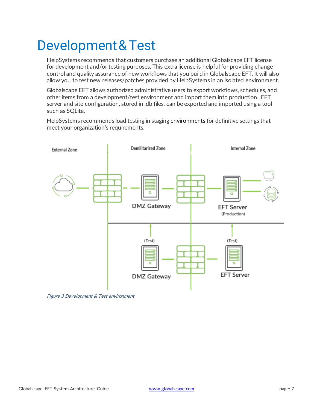# <span id="page-6-0"></span>Development&Test

HelpSystems recommends that customers purchase an additional Globalscape EFT license for development and/or testing purposes. This extra license is helpful for providing change control and quality assurance of new workflows that you build in Globalscape EFT. It will also allow you to test new releases/patches provided by HelpSystems in an isolated environment.

Globalscape EFT allows authorized administrative users to export workflows, schedules, and other items from a development/test environment and import them into production. EFT server and site configuration, stored in .db files, can be exported and imported using a tool such as SQLite.

HelpSystems recommends load testing in staging environments for definitive settings that meet your organization's requirements.



Figure 3 Development & Test environment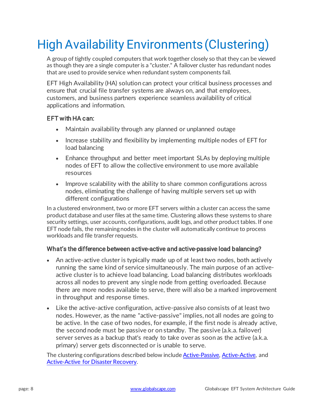## <span id="page-7-0"></span>High Availability Environments(Clustering)

A group of tightly coupled computers that work together closely so that they can be viewed as though they are a single computer is a "cluster." A failover cluster has redundant nodes that are used to provide service when redundant system components fail.

EFT High Availability (HA) solution can protect your critical business processes and ensure that crucial file transfer systems are always on, and that employees, customers, and business partners experience seamless availability of critical applications and information.

#### EFT with HA can:

- Maintain availability through any planned or unplanned outage
- Increase stability and flexibility by implementing multiple nodes of EFT for load balancing
- Enhance throughput and better meet important SLAs by deploying multiple nodes of EFT to allow the collective environment to use more available resources
- Improve scalability with the ability to share common configurations across nodes, eliminating the challenge of having multiple servers set up with different configurations

In a clustered environment, two or more EFT servers within a cluster can access the same product database and user files at the same time. Clustering allows these systems to share security settings, user accounts, configurations, audit logs, and other product tables. If one EFT node fails, the remainingnodes in the cluster will automatically continue to process workloads and file transfer requests.

#### What's the difference between active-active and active-passive load balancing?

- An active-active cluster is typically made up of at least two nodes, both actively running the same kind of service simultaneously. The main purpose of an activeactive cluster is to achieve load balancing. Load balancing distributes workloads across all nodes to prevent any single node from getting overloaded. Because there are more nodes available to serve, there will also be a marked improvement in throughput and response times.
- Like the active-active configuration, active-passive also consists of at least two nodes. However, as the name "active-passive" implies, not all nodes are going to be active. In the case of two nodes, for example, if the first node is already active, the second node must be passive or on standby. The passive (a.k.a. failover) server serves as a backup that's ready to take over as soon as the active (a.k.a. primary) server gets disconnected or is unable to serve.

The clustering configurations described below includ[e Active-Passive,](#page-8-0) [Active-Active,](#page-9-0) and [Active-Active for Disaster Recovery.](#page-10-0)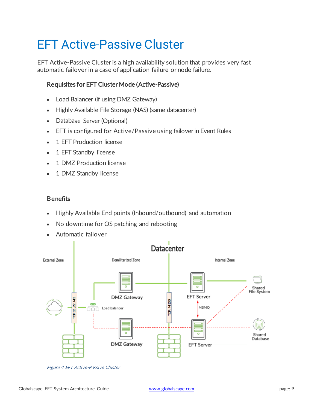## <span id="page-8-0"></span>EFT Active-Passive Cluster

EFT Active-Passive Cluster is a high availability solution that provides very fast automatic failover in a case of application failure or node failure.

#### Requisites for EFT Cluster Mode (Active-Passive)

- Load Balancer (if using DMZ Gateway)
- Highly Available File Storage (NAS) (same datacenter)
- Database Server (Optional)
- EFT is configured for Active/Passive using failover in Event Rules
- 1 EFT Production license
- 1 EFT Standby license
- 1 DMZ Production license
- 1 DMZ Standby license

#### **Benefits**

- Highly Available End points (Inbound/outbound) and automation
- No downtime for OS patching and rebooting
- Automatic failover



Figure 4 EFT Active-Passive Cluster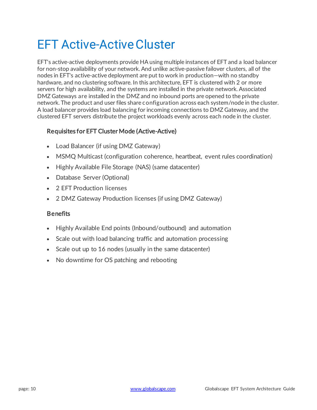## <span id="page-9-0"></span>**EFT Active-Active Cluster**

EFT's active-active deployments provide HA using multiple instances of EFT and a load balancer for non-stop availability of your network. And unlike active-passive failover clusters, all of the nodes in EFT's active-active deployment are put to work in production—with no standby hardware, and no clustering software. In this architecture, EFT is clustered with 2 or more servers for high availability, and the systems are installed in the private network. Associated DMZ Gateways are installed in the DMZ and no inbound ports are opened to the private network. The product and user files share configuration across each system/node in the cluster. A load balancer provides load balancing for incoming connections to DMZ Gateway, and the clustered EFT servers distribute the project workloads evenly across each node in the cluster.

#### Requisites for EFT Cluster Mode (Active-Active)

- Load Balancer (if using DMZ Gateway)
- MSMQ Multicast (configuration coherence, heartbeat, event rules coordination)
- Highly Available File Storage (NAS) (same datacenter)
- Database Server (Optional)
- 2 EFT Production licenses
- 2 DMZ Gateway Production licenses (if using DMZ Gateway)

#### **Benefits**

- Highly Available End points (Inbound/outbound) and automation
- Scale out with load balancing traffic and automation processing
- Scale out up to 16 nodes (usually in the same datacenter)
- No downtime for OS patching and rebooting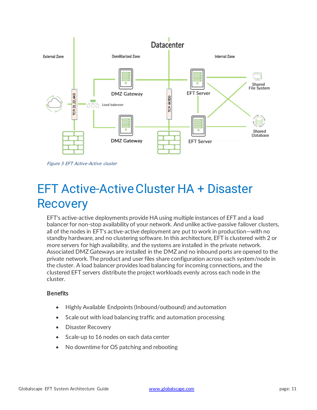

Figure 5 EFT Active-Active cluster

### <span id="page-10-0"></span>EFT Active-Active Cluster HA + Disaster **Recovery**

EFT's active-active deployments provide HA using multiple instances of EFT and a load balancer for non-stop availability of your network. And unlike active-passive failover clusters, all of the nodes in EFT's active-active deployment are put to work in production—with no standby hardware, and no clustering software. In this architecture, EFT is clustered with 2 or more servers for high availability, and the systems are installed in the private network. Associated DMZ Gateways are installed in the DMZ and no inbound ports are opened to the private network. The product and user files share configuration across each system/node in the cluster. A load balancer provides load balancing for incoming connections, and the clustered EFT servers distribute the project workloads evenly across each node in the cluster.

#### **Benefits**

- Highly Available Endpoints (Inbound/outbound) and automation
- Scale out with load balancing traffic and automation processing
- Disaster Recovery
- Scale-up to 16 nodes on each data center
- No downtime for OS patching and rebooting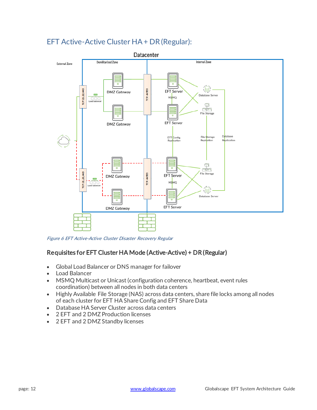#### EFT Active-Active Cluster HA + DR(Regular):



Figure 6 EFT Active-Active Cluster Disaster Recovery Regular

#### Requisites for EFT Cluster HA Mode (Active-Active) + DR (Regular)

- Global Load Balancer or DNS manager for failover
- Load Balancer
- MSMQ Multicast or Unicast (configuration coherence, heartbeat, event rules coordination) between all nodes in both data centers
- Highly Available File Storage (NAS) across data centers, share file locks among all nodes of each cluster for EFT HA Share Config and EFT Share Data
- Database HA Server Cluster across data centers
- 2 EFT and 2 DMZ Production licenses
- 2 EFT and 2 DMZ Standby licenses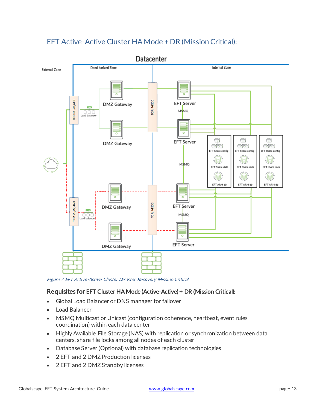

### EFT Active-Active Cluster HA Mode + DR (Mission Critical):

Figure 7 EFT Active-Active Cluster Disaster Recovery Mission Critical

#### Requisites for EFT Cluster HA Mode (Active-Active) + DR (Mission Critical):

- Global Load Balancer or DNS manager for failover
- Load Balancer
- MSMQ Multicast or Unicast (configuration coherence, heartbeat, event rules coordination) within each data center
- Highly Available File Storage (NAS) with replication or synchronization between data centers, share file locks among all nodes of each cluster
- Database Server (Optional) with database replication technologies
- 2 EFT and 2 DMZ Production licenses
- 2 EFT and 2 DMZ Standby licenses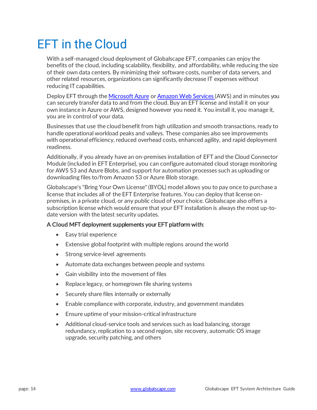### <span id="page-13-0"></span>EFT in the Cloud

With a self-managed cloud deployment of Globalscape EFT, companies can enjoy the benefits of the cloud, including scalability, flexibility, and affordability, while reducing the size of their own data centers. By minimizing their software costs, number of data servers, and other related resources, organizations can significantly decrease IT expenses without reducing IT capabilities.

Deploy EFT through th[e Microsoft Azure](https://azure.microsoft.com/en-us/) o[r Amazon Web Services \(](https://aws.amazon.com/)AWS) and in minutes you can securely transfer data to and from the cloud. Buy an EFT license and install it on your own instance in Azure or AWS, designed however you need it. You install it, you manage it, you are in control of your data.

Businesses that use the cloud benefit from high utilization and smooth transactions, ready to handle operational workload peaks and valleys. These companies also see improvements with operational efficiency, reduced overhead costs, enhanced agility, and rapid deployment readiness.

Additionally, if you already have an on-premises installation of EFT and the Cloud Connector Module (included in EFT Enterprise), you can configure automated cloud storage monitoring for AWS S3 and Azure Blobs, and support for automation processes such as uploading or downloading files to/from Amazon S3 or Azure Blob storage.

Globalscape's "Bring Your Own License" (BYOL) model allows you to pay once to purchase a license that includes all of the EFT Enterprise features. You can deploy that license onpremises, in a private cloud, or any public cloud of your choice. Globalscape also offers a subscription license which would ensure that your EFT installation is always the most up-todate version with the latest security updates.

#### A Cloud MFT deployment supplements your EFT platform with:

- Easy trial experience
- Extensive global footprint with multiple regions around the world
- Strong service-level agreements
- Automate data exchanges between people and systems
- Gain visibility into the movement of files
- Replace legacy, or homegrown file sharing systems
- Securely share files internally or externally
- Enable compliance with corporate, industry, and government mandates
- Ensure uptime of your mission-critical infrastructure
- Additional cloud-service tools and services such as load balancing, storage redundancy, replication to a second region, site recovery, automatic OS image upgrade, security patching, and others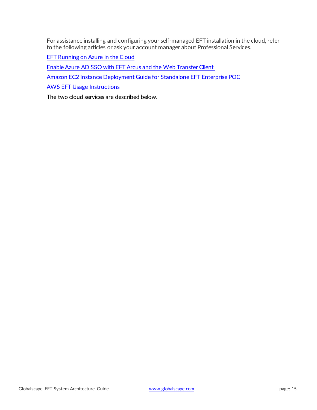For assistance installing and configuring your self-managed EFT installation in the cloud, refer to the following articles or ask your account manager about Professional Services.

[EFT Running on Azure in the Cloud](https://kb.globalscape.com/KnowledgebaseArticle11230.aspx)

[Enable Azure AD SSO with EFT Arcus and the Web Transfer Client](https://kb.globalscape.com/Knowledgebase/11405/Enable-Azure-AD-SSO-with-EFT-Arcus-and-the-Web-Transfer-Client)

[Amazon EC2 Instance Deployment Guide for Standalone EFT Enterprise POC](https://kb.globalscape.com/Knowledgebase/11229/Amazon-EC2-Instance-Deployment-Guide-for-Standalone-EFT-Enterprise-POC)

[AWS EFT Usage Instructions](https://kb.globalscape.com/Knowledgebase/11237/AWS-EFT-Usage-Instructions)

The two cloud services are described below.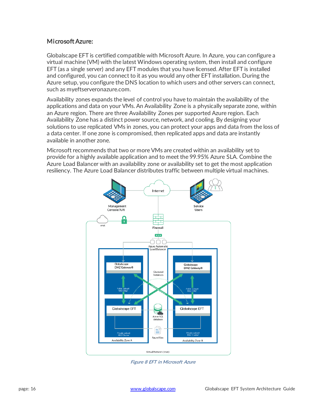#### Microsoft Azure:

Globalscape EFT is certified compatible with Microsoft Azure. In Azure, you can configure a virtual machine (VM) with the latest Windows operating system, then install and configure EFT (as a single server) and any EFT modules that you have licensed. After EFT is installed and configured, you can connect to it as you would any other EFT installation. During the Azure setup, you configure the DNS location to which users and other servers can connect, such as myeftserveronazure.com.

Availability zones expands the level of control you have to maintain the availability of the applications and data on your VMs. An Availability Zone is a physically separate zone, within an Azure region. There are three Availability Zones per supported Azure region. Each Availability Zone has a distinct power source, network, and cooling. By designing your solutions to use replicated VMs in zones, you can protect your apps and data from the loss of a data center. If one zone is compromised, then replicated apps and data are instantly available in another zone.

Microsoft recommends that two or more VMs are created within an availability set to provide for a highly available application and to meet the 99.95% Azure SLA. Combine the Azure Load Balancer with an availability zone or availability set to get the most application resiliency. The Azure Load Balancer distributes traffic between multiple virtual machines.



Figure 8 EFT in Microsoft Azure